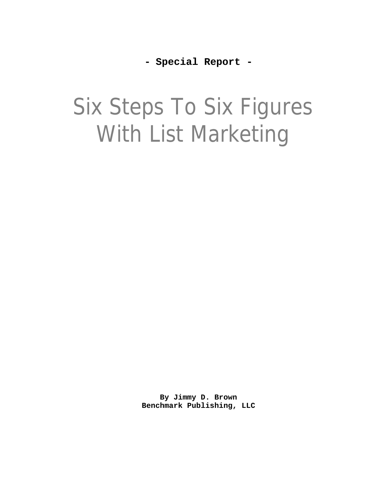**- Special Report -**

# Six Steps To Six Figures With List Marketing

**By Jimmy D. Brown Benchmark Publishing, LLC**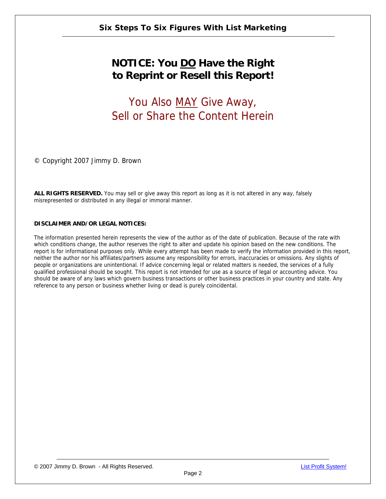## **NOTICE: You DO Have the Right to Reprint or Resell this Report!**

## You Also MAY Give Away, Sell or Share the Content Herein

© Copyright 2007 Jimmy D. Brown

**ALL RIGHTS RESERVED.** You may sell or give away this report as long as it is not altered in any way, falsely misrepresented or distributed in any illegal or immoral manner.

#### **DISCLAIMER AND/OR LEGAL NOTICES:**

The information presented herein represents the view of the author as of the date of publication. Because of the rate with which conditions change, the author reserves the right to alter and update his opinion based on the new conditions. The report is for informational purposes only. While every attempt has been made to verify the information provided in this report, neither the author nor his affiliates/partners assume any responsibility for errors, inaccuracies or omissions. Any slights of people or organizations are unintentional. If advice concerning legal or related matters is needed, the services of a fully qualified professional should be sought. This report is not intended for use as a source of legal or accounting advice. You should be aware of any laws which govern business transactions or other business practices in your country and state. Any reference to any person or business whether living or dead is purely coincidental.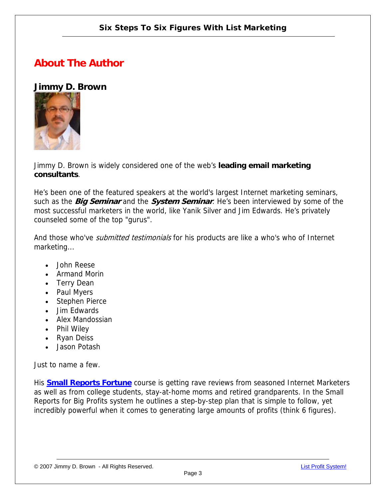### **About The Author**

#### **Jimmy D. Brown**



Jimmy D. Brown is widely considered one of the web's **leading email marketing consultants**.

He's been one of the featured speakers at the world's largest Internet marketing seminars, such as the **Big Seminar** and the **System Seminar**. He's been interviewed by some of the most successful marketers in the world, like Yanik Silver and Jim Edwards. He's privately counseled some of the top "gurus".

And those who've *submitted testimonials* for his products are like a who's who of Internet marketing...

- John Reese
- Armand Morin
- Terry Dean
- Paul Myers
- Stephen Pierce
- Jim Edwards
- Alex Mandossian
- Phil Wiley
- Ryan Deiss
- Jason Potash

Just to name a few.

His **[Small Reports Fortune](http://www.infoprofitshare.com/go.php?offer=janu001&pid=5)** course is getting rave reviews from seasoned Internet Marketers as well as from college students, stay-at-home moms and retired grandparents. In the Small Reports for Big Profits system he outlines a step-by-step plan that is simple to follow, yet incredibly powerful when it comes to generating large amounts of profits (think 6 figures).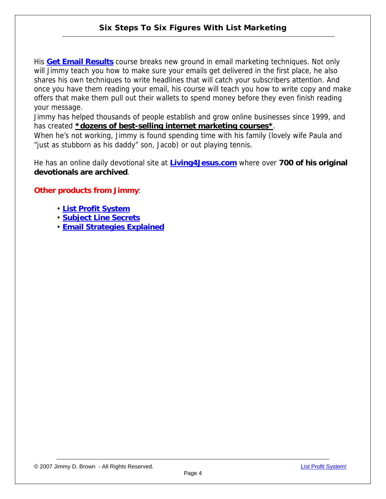His **[Get Email Results](http://www.infoprofitshare.com/go.php?offer=janu001&pid=3)** course breaks new ground in email marketing techniques. Not only will Jimmy teach you how to make sure your emails get delivered in the first place, he also shares his own techniques to write headlines that will catch your subscribers attention. And once you have them reading your email, his course will teach you how to write copy and make offers that make them pull out their wallets to spend money before they even finish reading your message.

Jimmy has helped thousands of people establish and grow online businesses since 1999, and has created **\*dozens of best-selling internet marketing courses\***.

When he's not working, Jimmy is found spending time with his family (lovely wife Paula and "just as stubborn as his daddy" son, Jacob) or out playing tennis.

He has an online daily devotional site at **[Living4Jesus.com](http://www.living4jesus.com/)** where over **700 of his original devotionals are archived**.

#### **Other products from Jimmy**:

- **[List Profit System](http://www.infoprofitshare.com/go.php?offer=janu001&pid=6)**
- **[Subject Line Secrets](http://www.infoprofitshare.com/go.php?offer=janu001&pid=2)**
- **[Email Strategies Explained](http://www.infoprofitshare.com/go.php?offer=janu001&pid=1)**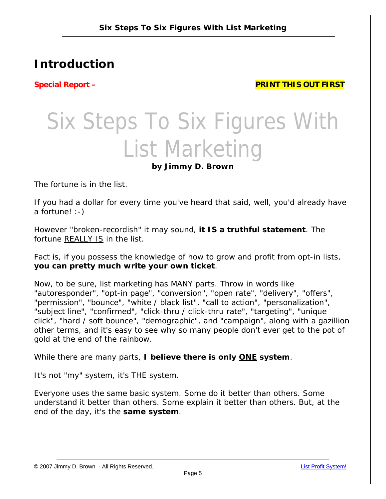## **Introduction**

**Special Report – PRINT THIS OUT FIRST** 

## Six Steps To Six Figures With List Marketing **by Jimmy D. Brown**

The fortune is in the list.

If you had a dollar for every time you've heard that said, well, you'd already have a fortune! :-)

However "*broken-recordish*" it may sound, **it IS a truthful statement**. The fortune REALLY IS in the list.

Fact is, if you possess the knowledge of how to grow and profit from opt-in lists, **you can pretty much write your own ticket**.

Now, to be sure, list marketing has MANY parts. Throw in words like *"autoresponder", "opt-in page", "conversion", "open rate", "delivery", "offers", "permission", "bounce", "white / black list", "call to action", "personalization", "subject line", "confirmed", "click-thru / click-thru rate", "targeting", "unique*  click", "hard / soft bounce", "demographic", and "campaign", along with a gazillion other terms, and it's easy to see why so many people don't ever get to the pot of gold at the end of the rainbow.

While there are many parts, **I believe there is only ONE system**.

It's not "my" system, it's THE system.

Everyone uses the same basic system. Some do it better than others. Some understand it better than others. Some explain it better than others. But, at the end of the day, it's the **same system**.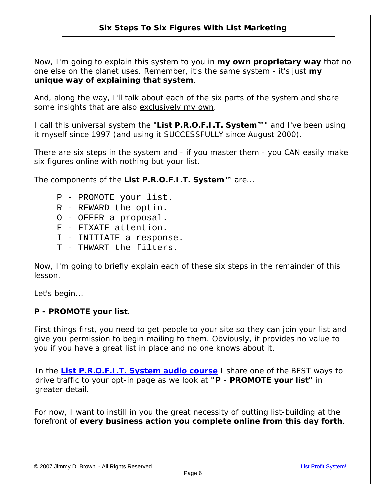Now, I'm going to explain this system to you in *my own proprietary way* that no one else on the planet uses. Remember, it's the same system - it's just *my unique way of explaining that system*.

And, along the way, I'll talk about each of the six parts of the system and share some insights that are also exclusively my own.

I call this universal system the "**List P.R.O.F.I.T. System™**" and I've been using it myself since 1997 (and using it SUCCESSFULLY since August 2000).

There are six steps in the system and - if you master them - you CAN easily make six figures online with nothing but your list.

The components of the **List P.R.O.F.I.T. System™** are...

- P PROMOTE your list.
- R REWARD the optin.
- O OFFER a proposal.
- F FIXATE attention.
- I INITIATE a response.
- T THWART the filters.

Now, I'm going to briefly explain each of these six steps in the remainder of this lesson.

Let's begin...

#### **P - PROMOTE your list**.

First things first, you need to get people to your site so they can join your list and give you permission to begin mailing to them. Obviously, it provides no value to you if you have a great list in place and *no one knows about it.*

In the **[List P.R.O.F.I.T. System audio course](http://www.infoprofitshare.com/go.php?offer=janu001&pid=6)** I share one of the BEST ways to drive traffic to your opt-in page as we look at *"P - PROMOTE your list"* in greater detail.

For now, I want to instill in you the great necessity of putting list-building at the forefront of **every business action you complete online from this day forth**.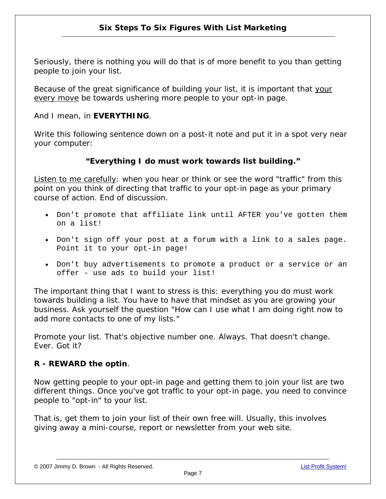Seriously, there is nothing you will do that is of more benefit to you than getting people to join your list.

Because of the great significance of building your list, it is important that your every move be towards ushering more people to your opt-in page.

And I mean, in **EVERYTHING**.

Write this following sentence down on a post-it note and put it in a spot very near your computer:

#### *"Everything I do must work towards list building."*

Listen to me carefully: when you hear or think or see the word "traffic" from this point on you think of directing that traffic to your opt-in page as your primary course of action. End of discussion.

- Don't promote that affiliate link until AFTER you've gotten them on a list!
- Don't sign off your post at a forum with a link to a sales page. Point it to your opt-in page!
- Don't buy advertisements to promote a product or a service or an offer - use ads to build your list!

The important thing that I want to stress is this: everything you do must work towards building a list. You have to have that mindset as you are growing your business. Ask yourself the question "*How can I use what I am doing right now to add more contacts to one of my lists*."

Promote your list. That's objective number one. Always. That doesn't change. Ever. Got it?

#### **R - REWARD the optin**.

Now getting people to your opt-in page and getting them to join your list are two different things. Once you've got traffic to your opt-in page, you need to convince people to "opt-in" to your list.

That is, get them to join your list of their own free will. Usually, this involves giving away a mini-course, report or newsletter from your web site.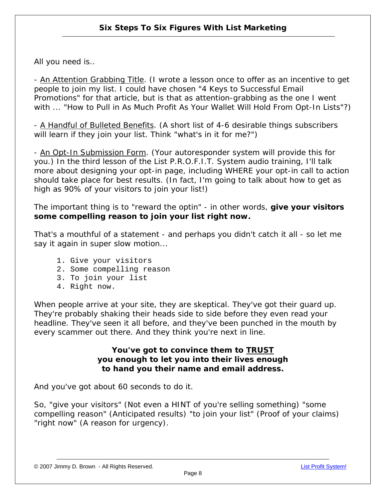All you need is..

- An Attention Grabbing Title. (I wrote a lesson once to offer as an incentive to get people to join my list. I could have chosen "*4 Keys to Successful Email Promotions*" for that article, but is that as attention-grabbing as the one I went with ... "*How to Pull in As Much Profit As Your Wallet Will Hold From Opt-In Lists*"?)

- A Handful of Bulleted Benefits. (A short list of 4-6 desirable things subscribers will learn if they join your list. Think "*what's in it for me?*")

- An Opt-In Submission Form. (Your autoresponder system will provide this for you.) In the third lesson of the List P.R.O.F.I.T. System audio training, I'll talk more about designing your opt-in page, including WHERE your opt-in call to action should take place for best results. (In fact, I'm going to talk about how to get as high as 90% of your visitors to join your list!)

The important thing is to "reward the optin" - in other words, **give your visitors some compelling reason to join your list right now.**

That's a mouthful of a statement - and perhaps you didn't catch it all - so let me say it again in super slow motion...

- 1. Give your visitors
- 2. Some compelling reason
- 3. To join your list
- 4. Right now.

When people arrive at your site, they are skeptical. They've got their guard up. They're probably shaking their heads side to side before they even read your headline. They've seen it all before, and they've been punched in the mouth by every scammer out there. And they think you're next in line.

#### **You've got to convince them to TRUST you enough to let you into their lives enough to hand you their name and email address.**

And you've got about 60 seconds to do it.

So, "*give your visitors*" (Not even a HINT of you're selling something) "*some compelling reason*" (Anticipated results) "to join your list" (Proof of your claims) "*right now*" (A reason for urgency).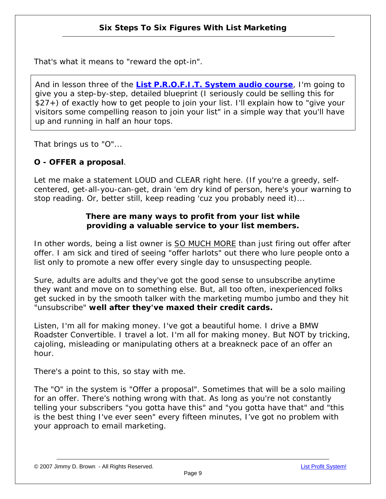That's what it means to "reward the opt-in".

And in lesson three of the **[List P.R.O.F.I.T. System audio course](http://www.infoprofitshare.com/go.php?offer=janu001&pid=6)**, I'm going to give you a step-by-step, detailed blueprint (I seriously could be selling this for \$27+) of exactly how to get people to join your list. I'll explain how to "give your visitors some compelling reason to join your list" in a simple way that you'll have up and running in half an hour tops.

That brings us to "O"...

#### **O - OFFER a proposal**.

Let me make a statement LOUD and CLEAR right here. (If you're a greedy, selfcentered, get-all-you-can-get, drain 'em dry kind of person, here's your warning to stop reading. Or, better still, keep reading 'cuz you probably need it)...

#### *There are many ways to profit from your list while providing a valuable service to your list members.*

In other words, being a list owner is SO MUCH MORE than just firing out offer after offer. I am sick and tired of seeing "*offer harlots*" out there who lure people onto a list only to promote a new offer every single day to unsuspecting people.

Sure, adults are adults and they've got the good sense to unsubscribe anytime they want and move on to something else. But, all too often, inexperienced folks get sucked in by the smooth talker with the marketing mumbo jumbo and they hit "*unsubscribe*" **well after they've maxed their credit cards.**

Listen, I'm all for making money. I've got a beautiful home. I drive a BMW Roadster Convertible. I travel a lot. I'm all for making money. *But NOT by tricking, cajoling, misleading or manipulating others at a breakneck pace of an offer an hour*.

There's a point to this, so stay with me.

The "O" in the system is "*Offer a proposal*". Sometimes that will be a solo mailing for an offer. There's nothing wrong with that. As long as you're not constantly telling your subscribers "*you gotta have this*" and *"you gotta have that*" and "*this is the best thing I've ever seen*" every fifteen minutes, I've got no problem with your approach to email marketing.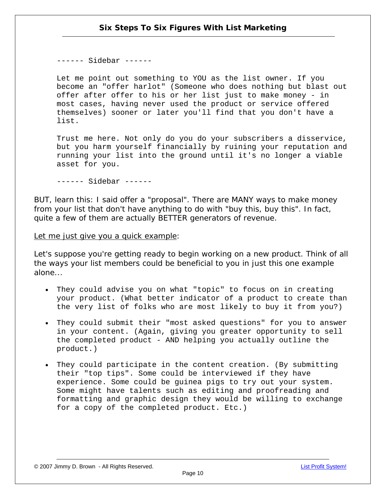------ Sidebar ------

Let me point out something to YOU as the list owner. If you become an "offer harlot" (Someone who does nothing but blast out offer after offer to his or her list just to make money - in most cases, having never used the product or service offered themselves) sooner or later you'll find that you don't have a list.

Trust me here. Not only do you do your subscribers a disservice, but you harm yourself financially by ruining your reputation and running your list into the ground until it's no longer a viable asset for you.

------ Sidebar ------

BUT, learn this: I said offer a "*proposal*". There are MANY ways to make money from your list that don't have anything to do with "buy this, buy this". In fact, quite a few of them are actually BETTER generators of revenue.

Let me just give you a quick example:

Let's suppose you're getting ready to begin working on a new product. Think of all the ways your list members could be beneficial to you in just this one example alone...

- They could advise you on what "topic" to focus on in creating your product. (What better indicator of a product to create than the very list of folks who are most likely to buy it from you?)
- They could submit their "most asked questions" for you to answer in your content. (Again, giving you greater opportunity to sell the completed product - AND helping you actually outline the product.)
- They could participate in the content creation. (By submitting their "top tips". Some could be interviewed if they have experience. Some could be guinea pigs to try out your system. Some might have talents such as editing and proofreading and formatting and graphic design they would be willing to exchange for a copy of the completed product. Etc.)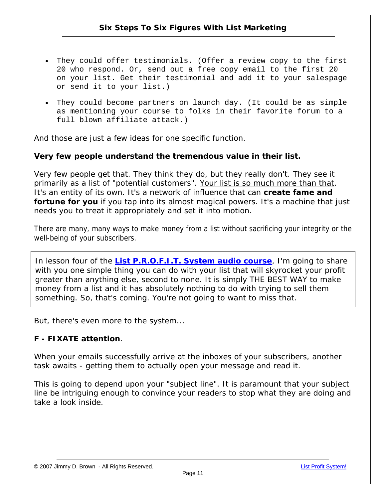- They could offer testimonials. (Offer a review copy to the first 20 who respond. Or, send out a free copy email to the first 20 on your list. Get their testimonial and add it to your salespage or send it to your list.)
- They could become partners on launch day. (It could be as simple as mentioning your course to folks in their favorite forum to a full blown affiliate attack.)

And those are just a few ideas for one specific function.

#### **Very few people understand the tremendous value in their list.**

Very few people get that. They think they do, but they really don't. They see it primarily as a list of *"potential customers*". Your list is so much more than that. It's an entity of its own. It's a network of influence that can **create fame and fortune for you** if you tap into its almost magical powers. It's a machine that just needs you to treat it appropriately and set it into motion.

There are many, many ways to make money from a list without sacrificing your integrity or the well-being of your subscribers.

In lesson four of the **[List P.R.O.F.I.T. System audio course](http://www.infoprofitshare.com/go.php?offer=janu001&pid=6)**, I'm going to share with you one simple thing you can do with your list that will skyrocket your profit greater than anything else, second to none. It is simply **THE BEST WAY** to make money from a list and it has absolutely nothing to do with trying to sell them something. So, that's coming. You're not going to want to miss that.

But, there's even more to the system...

#### **F - FIXATE attention**.

When your emails successfully arrive at the inboxes of your subscribers, another task awaits - *getting them to actually open your message and read it.*

This is going to depend upon your "*subject line*". It is paramount that your subject line be intriguing enough to convince your readers to stop what they are doing and take a look inside.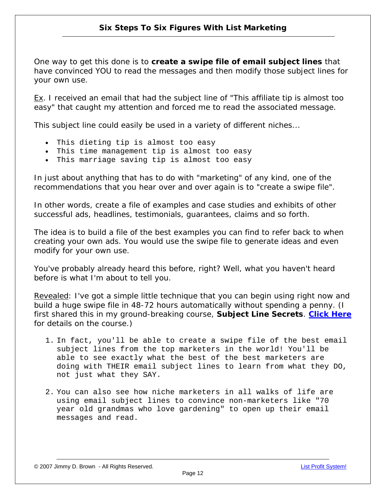One way to get this done is to **create a swipe file of email subject lines** that have convinced YOU to read the messages and then modify those subject lines for your own use.

Ex. I received an email that had the subject line of "*This affiliate tip is almost too easy*" that caught my attention and forced me to read the associated message.

This subject line could easily be used in a variety of different niches...

- This dieting tip is almost too easy
- This time management tip is almost too easy
- This marriage saving tip is almost too easy

In just about anything that has to do with "*marketing*" of any kind, one of the recommendations that you hear over and over again is to "*create a swipe file*".

In other words, create a file of examples and case studies and exhibits of other successful ads, headlines, testimonials, guarantees, claims and so forth.

The idea is to build a file of the best examples you can find to refer back to when creating your own ads. You would use the swipe file to generate ideas and even modify for your own use.

You've probably already heard this before, right? Well, what you haven't heard before is what I'm about to tell you.

Revealed: I've got a simple little technique that you can begin using right now and build a huge swipe file in 48-72 hours automatically without spending a penny. (I first shared this in my ground-breaking course, *Subject Line Secrets*. **[Click Here](http://www.infoprofitshare.com/go.php?offer=janu001&pid=2)** for details on the course.)

- 1. In fact, you'll be able to create a swipe file of the best email subject lines from the top marketers in the world! You'll be able to see exactly what the best of the best marketers are doing with THEIR email subject lines to learn from what they DO, not just what they SAY.
- 2. You can also see how niche marketers in all walks of life are using email subject lines to convince non-marketers like "70 year old grandmas who love gardening" to open up their email messages and read.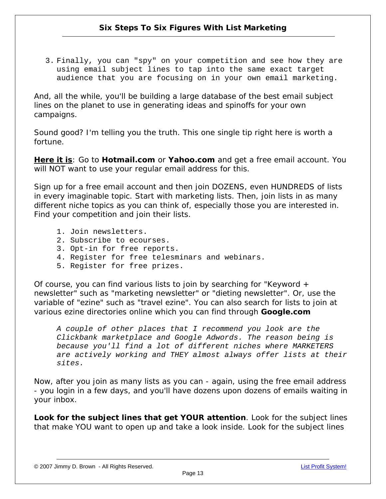3. Finally, you can "spy" on your competition and see how they are using email subject lines to tap into the same exact target audience that you are focusing on in your own email marketing.

And, all the while, you'll be building a large database of the best email subject lines on the planet to use in generating ideas and spinoffs for your own campaigns.

Sound good? I'm telling you the truth. This one single tip right here is worth a fortune.

**Here it is**: Go to **Hotmail.com** or **Yahoo.com** and get a free email account. You will NOT want to use your regular email address for this.

Sign up for a free email account and then join DOZENS, even HUNDREDS of lists in every imaginable topic. Start with marketing lists. Then, join lists in as many different niche topics as you can think of, especially those you are interested in. Find your competition and join their lists.

- 1. Join newsletters.
- 2. Subscribe to ecourses.
- 3. Opt-in for free reports.
- 4. Register for free telesminars and webinars.
- 5. Register for free prizes.

Of course, you can find various lists to join by searching for "Keyword + newsletter" such as "marketing newsletter" or "dieting newsletter". Or, use the variable of "ezine" such as "travel ezine". You can also search for lists to join at various ezine directories online which you can find through **Google.com**

*A couple of other places that I recommend you look are the Clickbank marketplace and Google Adwords. The reason being is because you'll find a lot of different niches where MARKETERS are actively working and THEY almost always offer lists at their sites.*

Now, after you join as many lists as you can - again, using the free email address - you login in a few days, and you'll have dozens upon dozens of emails waiting in your inbox.

**Look for the subject lines that get YOUR attention**. Look for the subject lines that make YOU want to open up and take a look inside. Look for the subject lines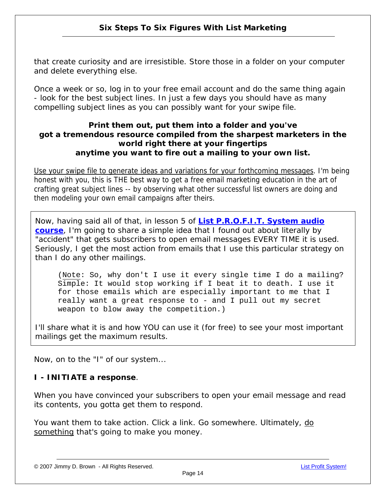that create curiosity and are irresistible. Store those in a folder on your computer and delete everything else.

Once a week or so, log in to your free email account and do the same thing again - look for the best subject lines. In just a few days you should have as many compelling subject lines as you can possibly want for your swipe file.

#### **Print them out, put them into a folder and you've got a tremendous resource compiled from the sharpest marketers in the world right there at your fingertips anytime you want to fire out a mailing to your own list.**

Use your swipe file to generate ideas and variations for your forthcoming messages. I'm being honest with you, this is THE best way to get a free email marketing education in the art of crafting great subject lines -- by observing what other successful list owners are doing and then modeling your own email campaigns after theirs.

Now, having said all of that, in lesson 5 of **[List P.R.O.F.I.T. System audio](http://www.infoprofitshare.com/go.php?offer=janu001&pid=6)  [course](http://www.infoprofitshare.com/go.php?offer=janu001&pid=6)**, I'm going to share a simple idea that I found out about literally by "accident" that gets subscribers to open email messages EVERY TIME it is used. Seriously, I get the most action from emails that I use this particular strategy on than I do any other mailings.

(Note: So, why don't I use it every single time I do a mailing? Simple: It would stop working if I beat it to death. I use it for those emails which are especially important to me that I really want a great response to - and I pull out my secret weapon to blow away the competition.)

I'll share what it is and how YOU can use it (for free) to see your most important mailings get the maximum results.

Now, on to the "I" of our system...

#### **I - INITIATE a response**.

When you have convinced your subscribers to open your email message and read its contents, you gotta get them to respond.

You want them to take action. Click a link. Go somewhere. Ultimately, do something that's going to make you money.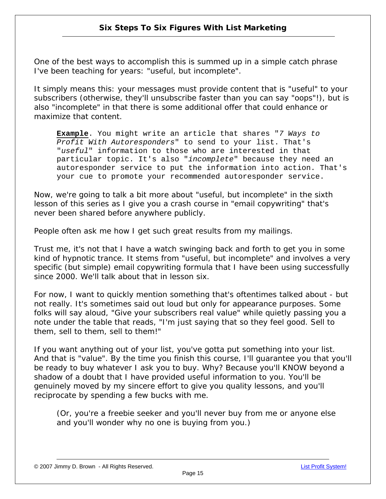One of the best ways to accomplish this is summed up in a simple catch phrase I've been teaching for years: "*useful, but incomplete*".

It simply means this: your messages must provide content that is "*useful*" to your subscribers (otherwise, they'll unsubscribe faster than you can say "*oops*"!), but is also "*incomplete*" in that there is some additional offer that could enhance or maximize that content.

**Example**. You might write an article that shares "*7 Ways to Profit With Autoresponders*" to send to your list. That's "*useful*" information to those who are interested in that particular topic. It's also "*incomplete*" because they need an autoresponder service to put the information into action. That's your cue to promote your recommended autoresponder service.

Now, we're going to talk a bit more about "*useful, but incomplete*" in the sixth lesson of this series as I give you a crash course in "*email copywriting*" that's never been shared before anywhere publicly.

People often ask me how I get such great results from my mailings.

Trust me, it's not that I have a watch swinging back and forth to get you in some kind of hypnotic trance. It stems from "*useful, but incomplete*" and involves a very specific (but simple) email copywriting formula that I have been using successfully since 2000. We'll talk about that in lesson six.

For now, I want to quickly mention something that's oftentimes talked about - but not really. It's sometimes said out loud but only for appearance purposes. Some folks will say aloud, "*Give your subscribers real value*" while quietly passing you a note under the table that reads, "*I'm just saying that so they feel good. Sell to them, sell to them, sell to them!*"

If you want anything out of your list, you've gotta put something into your list. And that is "*value*". By the time you finish this course, I'll guarantee you that you'll be ready to buy whatever I ask you to buy. Why? Because you'll KNOW beyond a shadow of a doubt that I have provided useful information to you. You'll be genuinely moved by my sincere effort to give you quality lessons, and you'll reciprocate by spending a few bucks with me.

*(Or, you're a freebie seeker and you'll never buy from me or anyone else and you'll wonder why no one is buying from you.)*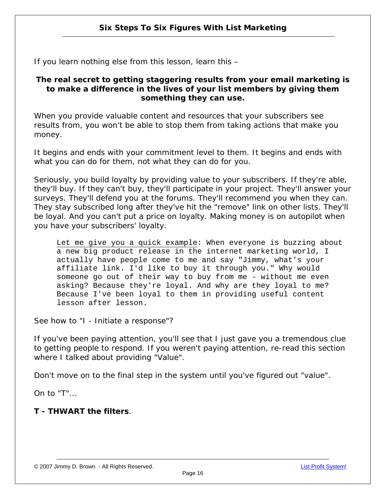If you learn nothing else from this lesson, learn this –

#### *The real secret to getting staggering results from your email marketing is to make a difference in the lives of your list members by giving them something they can use.*

When you provide valuable content and resources that your subscribers see results from, you won't be able to stop them from taking actions that make you money.

It begins and ends with your commitment level to them. It begins and ends with what you can do for them, not what they can do for you.

Seriously, you build loyalty by providing value to your subscribers. If they're able, they'll buy. If they can't buy, they'll participate in your project. They'll answer your surveys. They'll defend you at the forums. They'll recommend you when they can. They stay subscribed long after they've hit the "remove" link on other lists. They'll be loyal. And you can't put a price on loyalty. Making money is on autopilot when you have your subscribers' loyalty.

Let me give you a quick example: When everyone is buzzing about a new big product release in the internet marketing world, I actually have people come to me and say "Jimmy, what's your affiliate link. I'd like to buy it through you." Why would someone go out of their way to buy from me - without me even asking? Because they're loyal. And why are they loyal to me? Because I've been loyal to them in providing useful content lesson after lesson.

See how to *"I - Initiate a response"?* 

If you've been paying attention, you'll see that I just gave you a tremendous clue to getting people to respond. If you weren't paying attention, re-read this section where I talked about providing "*Value*".

Don't move on to the final step in the system until you've figured out "value".

On to "T"...

#### **T - THWART the filters**.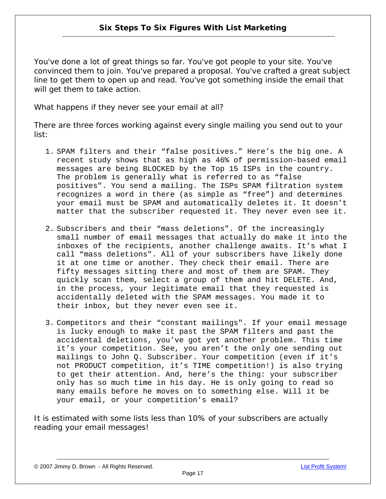You've done a lot of great things so far. You've got people to your site. You've convinced them to join. You've prepared a proposal. You've crafted a great subject line to get them to open up and read. You've got something inside the email that will get them to take action.

What happens if they never see your email at all?

There are three forces working against every single mailing you send out to your list:

- 1. SPAM filters and their "false positives." Here's the big one. A recent study shows that as high as 46% of permission-based email messages are being BLOCKED by the Top 15 ISPs in the country. The problem is generally what is referred to as "false positives". You send a mailing. The ISPs SPAM filtration system recognizes a word in there (as simple as "free") and determines your email must be SPAM and automatically deletes it. It doesn't matter that the subscriber requested it. They never even see it.
- 2. Subscribers and their "mass deletions". Of the increasingly small number of email messages that actually do make it into the inboxes of the recipients, another challenge awaits. It's what I call "mass deletions". All of your subscribers have likely done it at one time or another. They check their email. There are fifty messages sitting there and most of them are SPAM. They quickly scan them, select a group of them and hit DELETE. And, in the process, your legitimate email that they requested is accidentally deleted with the SPAM messages. You made it to their inbox, but they never even see it.
- 3. Competitors and their "constant mailings". If your email message is lucky enough to make it past the SPAM filters and past the accidental deletions, you've got yet another problem. This time it's your competition. See, you aren't the only one sending out mailings to John Q. Subscriber. Your competition (even if it's not PRODUCT competition, it's TIME competition!) is also trying to get their attention. And, here's the thing: your subscriber only has so much time in his day. He is only going to read so many emails before he moves on to something else. Will it be your email, or your competition's email?

It is estimated with some lists less than 10% of your subscribers are actually reading your email messages!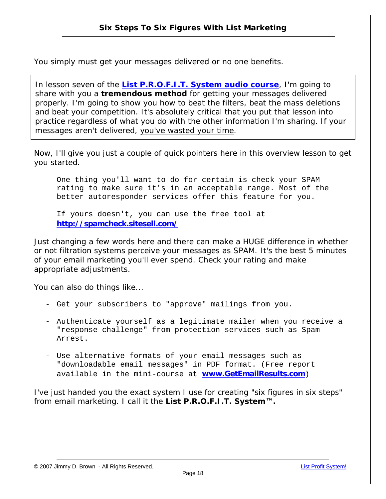You simply must get your messages delivered or no one benefits.

In lesson seven of the **[List P.R.O.F.I.T. System audio course](http://www.infoprofitshare.com/go.php?offer=janu001&pid=6)**, I'm going to share with you a **tremendous method** for getting your messages delivered properly. I'm going to show you how to *beat the filters, beat the mass deletions and beat your competition.* It's absolutely critical that you put that lesson into practice regardless of what you do with the other information I'm sharing. If your messages aren't delivered, you've wasted your time.

Now, I'll give you just a couple of quick pointers here in this overview lesson to get you started.

One thing you'll want to do for certain is check your SPAM rating to make sure it's in an acceptable range. Most of the better autoresponder services offer this feature for you.

If yours doesn't, you can use the free tool at **<http://spamcheck.sitesell.com/>**

Just changing a few words here and there can make a HUGE difference in whether or not filtration systems perceive your messages as SPAM. It's the best 5 minutes of your email marketing you'll ever spend. Check your rating and make appropriate adjustments.

You can also do things like...

- Get your subscribers to "approve" mailings from you.
- Authenticate yourself as a legitimate mailer when you receive a "response challenge" from protection services such as Spam Arrest.
- Use alternative formats of your email messages such as "downloadable email messages" in PDF format. (Free report available in the mini-course at **[www.GetEmailResults.com](http://www.infoprofitshare.com/go.php?offer=janu001&pid=3)**)

I've just handed you the exact system I use for creating "*six figures in six steps*" from email marketing. I call it the **List P.R.O.F.I.T. System™.**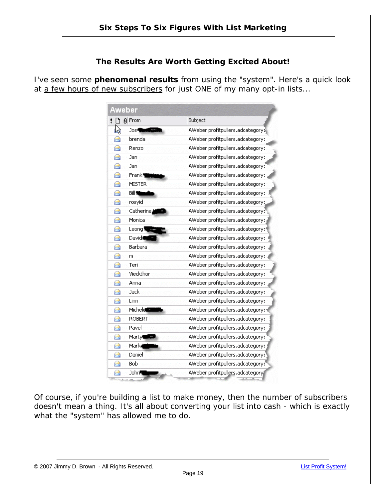#### **The Results Are Worth Getting Excited About!**

I've seen some **phenomenal results** from using the "system". Here's a quick look at a few hours of new subscribers for just ONE of my many opt-in lists...

| Aweber                   |                                  |
|--------------------------|----------------------------------|
| g From<br>ħ              | Subject                          |
| L)<br>Jos¶               | AWeber profitpullers.adcategory; |
| brenda<br>⊖              | AWeber profitpullers.adcategory: |
| A<br>Renzo               | AWeber profitpullers.adcategory: |
| ⊖<br>Jan                 | AWeber profitpullers.adcategory: |
| A<br>Jan                 | AWeber profitpullers.adcategory? |
| Frank <sup>9</sup><br>A  | AWeber profitpullers.adcategory: |
| <b>MISTER</b><br>⊷       | AWeber profitpullers.adcategory: |
| A<br>Bill 10             | AWeber profitpullers.adcategory: |
| ⊖<br>rosyid              | AWeber profitpullers.adcategory: |
| Catherine,<br>⊶          | AWeber profitpullers.adcategory: |
| A<br>Monica              | AWeber profitpullers.adcategory: |
| A<br>Leong               | AWeber profitpullers.adcategory: |
| David<br>A               | AWeber profitpullers.adcategory: |
| Barbara<br>A             | AWeber profitpullers.adcategory: |
| A<br>m                   | AWeber profitpullers.adcategory: |
| A<br>Teri                | AWeber profitpullers.adcategory: |
| Vieckthor<br>A           | AWeber profitpullers.adcategory: |
| ⊖<br>Anna                | AWeber profitpullers.adcategory: |
| Jack<br>A                | AWeber profitpullers.adcategory: |
| Linn<br>A                | AWeber profitpullers.adcategory: |
| Micheld<br>⊖             | AWeber profitpullers.adcategory: |
| ROBERT.<br>⊶             | AWeber profitpullers.adcategory: |
| Pavel<br>A               | AWeber profitpullers.adcategory: |
| ⊖<br>Marty               | AWeber profitpullers.adcategory: |
| A<br>Marka               | AWeber profitpullers.adcategory: |
| Daniel<br>⊶              | AWeber profitpullers.adcategory: |
| <b>Bob</b><br>A          | AWeber profitpullers.adcategory: |
| John <sup>8</sup><br>6-1 | AWeber profitpullers.adcategory  |
|                          |                                  |

Of course, if you're building a list to make money, then the number of subscribers doesn't mean a thing. It's all about converting your list into cash - which is exactly what the "system" has allowed me to do.